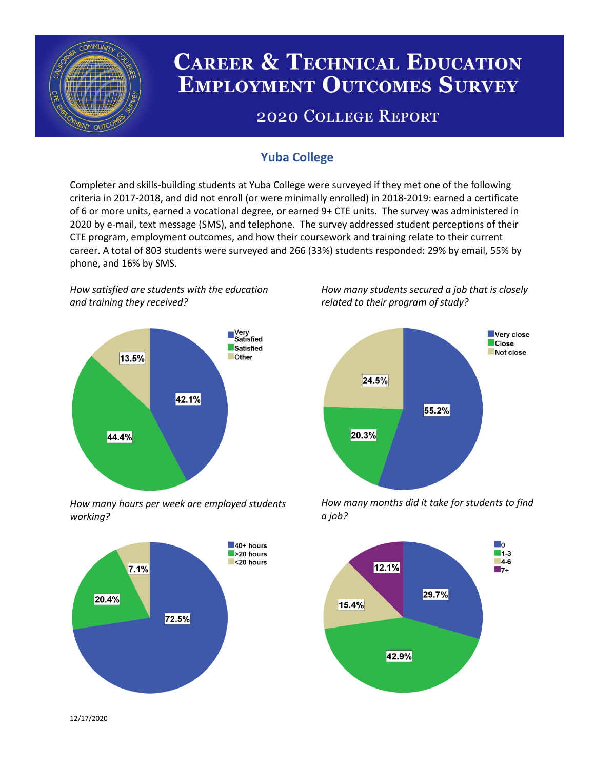

# **CAREER & TECHNICAL EDUCATION EMPLOYMENT OUTCOMES SURVEY**

## **2020 COLLEGE REPORT**

## **Yuba College**

Completer and skills-building students at Yuba College were surveyed if they met one of the following criteria in 2017-2018, and did not enroll (or were minimally enrolled) in 2018-2019: earned a certificate of 6 or more units, earned a vocational degree, or earned 9+ CTE units. The survey was administered in 2020 by e-mail, text message (SMS), and telephone. The survey addressed student perceptions of their CTE program, employment outcomes, and how their coursework and training relate to their current career. A total of 803 students were surveyed and 266 (33%) students responded: 29% by email, 55% by phone, and 16% by SMS.

*How satisfied are students with the education and training they received?*



*How many hours per week are employed students working?*



*How many students secured a job that is closely related to their program of study?*



*How many months did it take for students to find a job?*



12/17/2020